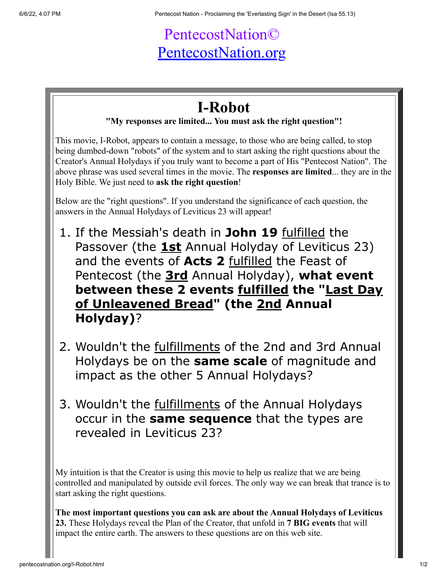## PentecostNation© [PentecostNation.org](http://pentecostnation.org/)

## **I-Robot**

## **"My responses are limited... You must ask the right question"!**

This movie, I-Robot, appears to contain a message, to those who are being called, to stop being dumbed-down "robots" of the system and to start asking the right questions about the Creator's Annual Holydays if you truly want to become a part of His "Pentecost Nation". The above phrase was used several times in the movie. The **responses are limited**... they are in the Holy Bible. We just need to **ask the right question**!

Below are the "right questions". If you understand the significance of each question, the answers in the Annual Holydays of Leviticus 23 will appear!

- 1. If the Messiah's death in **John 19** fulfilled the Passover (the **1st** Annual Holyday of Leviticus 23) and the events of **Acts 2** fulfilled the Feast of Pentecost (the **3rd** Annual Holyday), **what event between these 2 events fulfilled the "Last Day of Unleavened Bread" (the 2nd Annual Holyday)**?
- 2. Wouldn't the fulfillments of the 2nd and 3rd Annual Holydays be on the **same scale** of magnitude and impact as the other 5 Annual Holydays?
- 3. Wouldn't the fulfillments of the Annual Holydays occur in the **same sequence** that the types are revealed in Leviticus 23?

My intuition is that the Creator is using this movie to help us realize that we are being controlled and manipulated by outside evil forces. The only way we can break that trance is to start asking the right questions.

**The most important questions you can ask are about the Annual Holydays of Leviticus 23.** These Holydays reveal the Plan of the Creator, that unfold in **7 BIG events** that will impact the entire earth. The answers to these questions are on this web site.